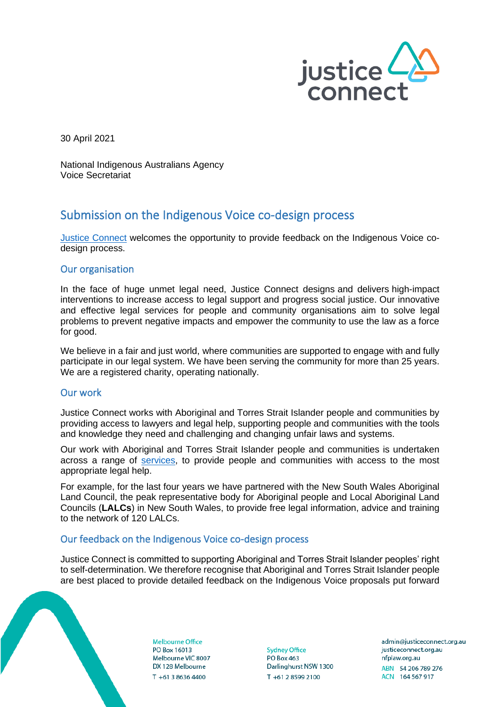

30 April 2021

National Indigenous Australians Agency Voice Secretariat

# Submission on the Indigenous Voice co-design process

[Justice Connect](https://justiceconnect.org.au/) welcomes the opportunity to provide feedback on the Indigenous Voice codesign process.

### Our organisation

In the face of huge unmet legal need, Justice Connect designs and delivers high-impact interventions to increase access to legal support and progress social justice. Our innovative and effective legal services for people and community organisations aim to solve legal problems to prevent negative impacts and empower the community to use the law as a force for good.

We believe in a fair and just world, where communities are supported to engage with and fully participate in our legal system. We have been serving the community for more than 25 years. We are a registered charity, operating nationally.

# Our work

Justice Connect works with Aboriginal and Torres Strait Islander people and communities by providing access to lawyers and legal help, supporting people and communities with the tools and knowledge they need and challenging and changing unfair laws and systems.

Our work with Aboriginal and Torres Strait Islander people and communities is undertaken across a range of [services,](https://justiceconnect.org.au/our-services/) to provide people and communities with access to the most appropriate legal help.

For example, for the last four years we have partnered with the New South Wales Aboriginal Land Council, the peak representative body for Aboriginal people and Local Aboriginal Land Councils (**LALCs**) in New South Wales, to provide free legal information, advice and training to the network of 120 LALCs.

# Our feedback on the Indigenous Voice co-design process

Justice Connect is committed to supporting Aboriginal and Torres Strait Islander peoples' right to self-determination. We therefore recognise that Aboriginal and Torres Strait Islander people are best placed to provide detailed feedback on the Indigenous Voice proposals put forward

**Melbourne Office** PO Box 16013 Melbourne VIC 8007 DX 128 Melbourne  $T + 61386364400$ 

**Sydney Office PO Box 463** Darlinghurst NSW 1300 T +61 2 8599 2100

admin@iusticeconnect.org.au justiceconnect.org.au nfplaw.org.au ABN 54 206 789 276 ACN 164 567 917